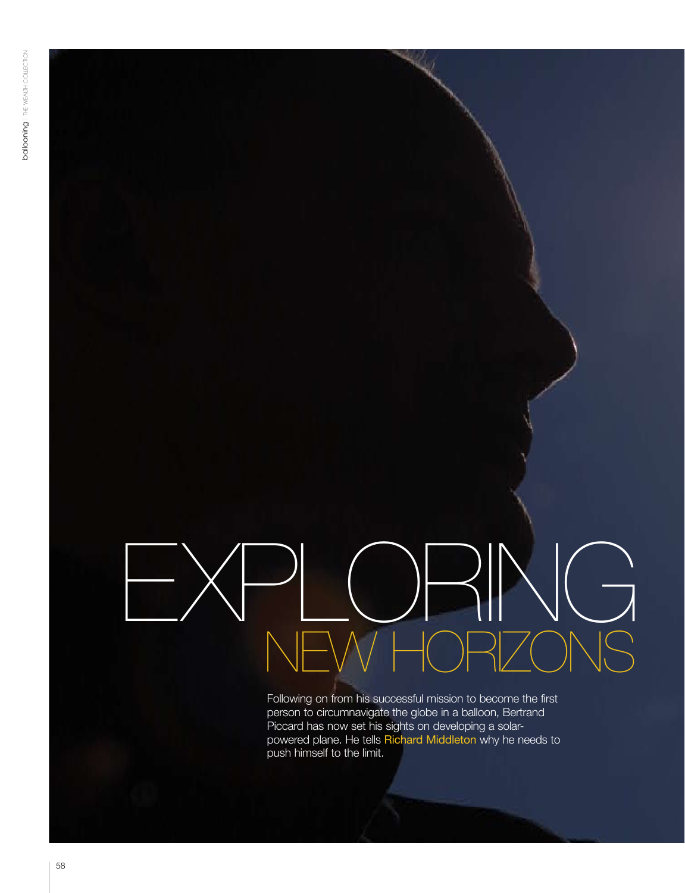# new horizons EXPLORING

Following on from his successful mission to become the first person to circumnavigate the globe in a balloon, Bertrand Piccard has now set his sights on developing a solarpowered plane. He tells Richard Middleton why he needs to push himself to the limit.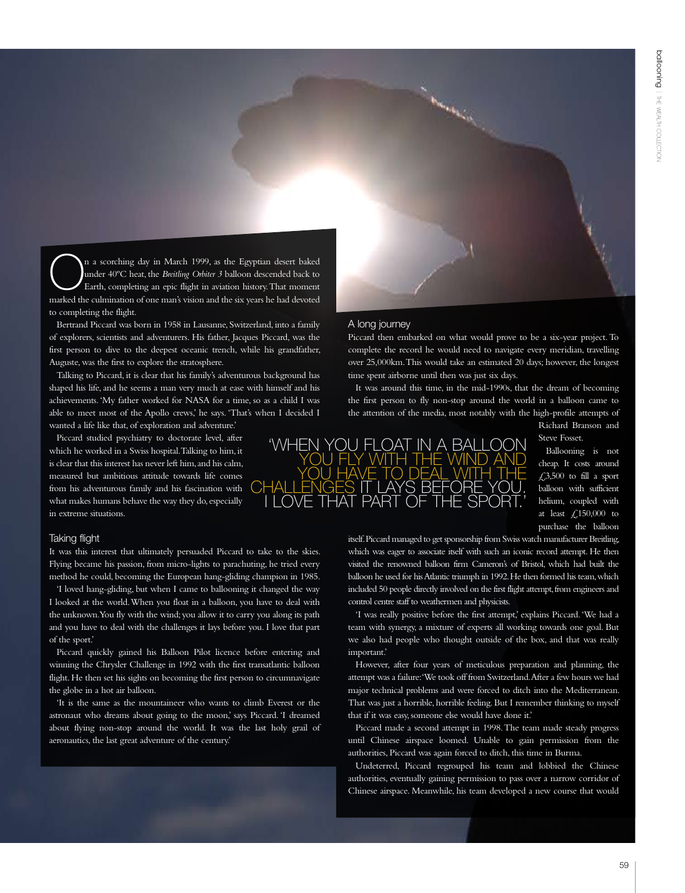In a scorching day in March 1999, as the Egyptian desert baked under 40°C heat, the *Breitling Orbiter 3* balloon descended back to Earth, completing an epic flight in aviation history. That moment under 40ºC heat, the *Breitling Orbiter 3* balloon descended back to marked the culmination of one man's vision and the six years he had devoted to completing the flight.

Bertrand Piccard was born in 1958 in Lausanne, Switzerland, into a family of explorers, scientists and adventurers. His father, Jacques Piccard, was the first person to dive to the deepest oceanic trench, while his grandfather, Auguste, was the first to explore the stratosphere.

Talking to Piccard, it is clear that his family's adventurous background has shaped his life, and he seems a man very much at ease with himself and his achievements. 'My father worked for NASA for a time, so as a child I was able to meet most of the Apollo crews,' he says. 'That's when I decided I wanted a life like that, of exploration and adventure.'

Piccard studied psychiatry to doctorate level, after which he worked in a Swiss hospital. Talking to him, it is clear that this interest has never left him, and his calm, measured but ambitious attitude towards life comes from his adventurous family and his fascination with what makes humans behave the way they do, especially in extreme situations.

### Taking flight

It was this interest that ultimately persuaded Piccard to take to the skies. Flying became his passion, from micro-lights to parachuting, he tried every method he could, becoming the European hang-gliding champion in 1985.

'I loved hang-gliding, but when I came to ballooning it changed the way I looked at the world. When you float in a balloon, you have to deal with the unknown. You fly with the wind; you allow it to carry you along its path and you have to deal with the challenges it lays before you. I love that part of the sport.'

Piccard quickly gained his Balloon Pilot licence before entering and winning the Chrysler Challenge in 1992 with the first transatlantic balloon flight. He then set his sights on becoming the first person to circumnavigate the globe in a hot air balloon.

'It is the same as the mountaineer who wants to climb Everest or the astronaut who dreams about going to the moon,' says Piccard. 'I dreamed about flying non-stop around the world. It was the last holy grail of aeronautics, the last great adventure of the century.'

# A long journey

Piccard then embarked on what would prove to be a six-year project. To complete the record he would need to navigate every meridian, travelling over 25,000km. This would take an estimated 20 days; however, the longest time spent airborne until then was just six days.

**Controller** 

It was around this time, in the mid-1990s, that the dream of becoming the first person to fly non-stop around the world in a balloon came to the attention of the media, most notably with the high-profile attempts of Richard Branson and

Steve Fosset.

Ballooning is not cheap. It costs around  $£3,500$  to fill a sport balloon with sufficient helium, coupled with at least  $\text{\textsterling},150,000$  to purchase the balloon

itself. Piccard managed to get sponsorship from Swiss watch manufacturer Breitling, which was eager to associate itself with such an iconic record attempt. He then visited the renowned balloon firm Cameron's of Bristol, which had built the balloon he used for his Atlantic triumph in 1992. He then formed his team, which included 50 people directly involved on the first flight attempt, from engineers and control centre staff to weathermen and physicists.

'I was really positive before the first attempt,' explains Piccard. 'We had a team with synergy, a mixture of experts all working towards one goal. But we also had people who thought outside of the box, and that was really important.'

However, after four years of meticulous preparation and planning, the attempt was a failure: 'We took off from Switzerland. After a few hours we had major technical problems and were forced to ditch into the Mediterranean. That was just a horrible, horrible feeling. But I remember thinking to myself that if it was easy, someone else would have done it.'

Piccard made a second attempt in 1998. The team made steady progress until Chinese airspace loomed. Unable to gain permission from the authorities, Piccard was again forced to ditch, this time in Burma.

Undeterred, Piccard regrouped his team and lobbied the Chinese authorities, eventually gaining permission to pass over a narrow corridor of Chinese airspace. Meanwhile, his team developed a new course that would